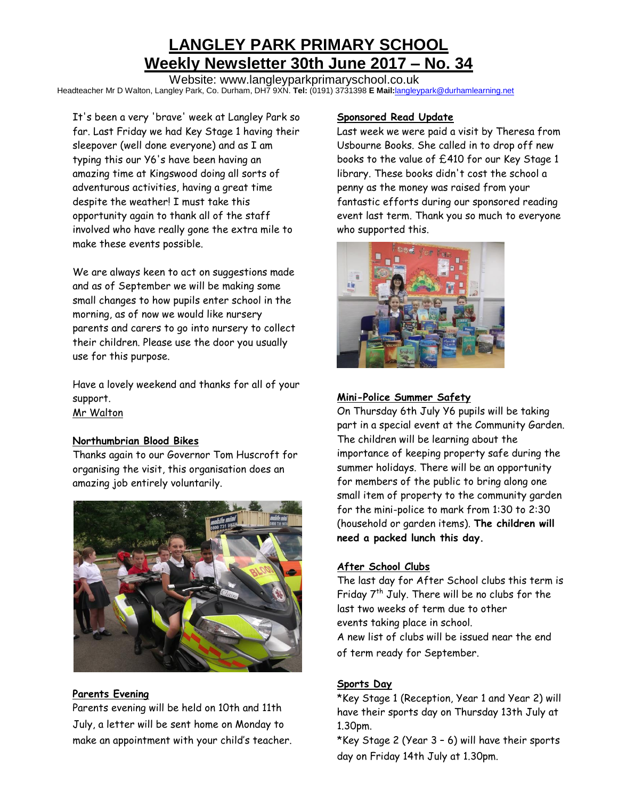# **LANGLEY PARK PRIMARY SCHOOL Weekly Newsletter 30th June 2017 – No. 34**

Website: www.langleyparkprimaryschool.co.uk Headteacher Mr D Walton, Langley Park, Co. Durham, DH7 9XN. **Tel:** (0191) 3731398 **E Mail:**[langleypark@durhamlearning.net](mailto:langleypark@durhamlearning.net)

It's been a very 'brave' week at Langley Park so far. Last Friday we had Key Stage 1 having their sleepover (well done everyone) and as I am typing this our Y6's have been having an amazing time at Kingswood doing all sorts of adventurous activities, having a great time despite the weather! I must take this opportunity again to thank all of the staff involved who have really gone the extra mile to make these events possible.

We are always keen to act on suggestions made and as of September we will be making some small changes to how pupils enter school in the morning, as of now we would like nursery parents and carers to go into nursery to collect their children. Please use the door you usually use for this purpose.

Have a lovely weekend and thanks for all of your support. Mr Walton

#### **Northumbrian Blood Bikes**

Thanks again to our Governor Tom Huscroft for organising the visit, this organisation does an amazing job entirely voluntarily.



## **Parents Evening**

Parents evening will be held on 10th and 11th July, a letter will be sent home on Monday to make an appointment with your child's teacher.

#### **Sponsored Read Update**

Last week we were paid a visit by Theresa from Usbourne Books. She called in to drop off new books to the value of £410 for our Key Stage 1 library. These books didn't cost the school a penny as the money was raised from your fantastic efforts during our sponsored reading event last term. Thank you so much to everyone who supported this.



#### **Mini-Police Summer Safety**

On Thursday 6th July Y6 pupils will be taking part in a special event at the Community Garden. The children will be learning about the importance of keeping property safe during the summer holidays. There will be an opportunity for members of the public to bring along one small item of property to the community garden for the mini-police to mark from 1:30 to 2:30 (household or garden items). **The children will need a packed lunch this day.**

#### **After School Clubs**

The last day for After School clubs this term is Friday  $7<sup>th</sup>$  July. There will be no clubs for the last two weeks of term due to other events taking place in school.

A new list of clubs will be issued near the end of term ready for September.

## **Sports Day**

\*Key Stage 1 (Reception, Year 1 and Year 2) will have their sports day on Thursday 13th July at 1.30pm.

\*Key Stage 2 (Year 3 – 6) will have their sports day on Friday 14th July at 1.30pm.